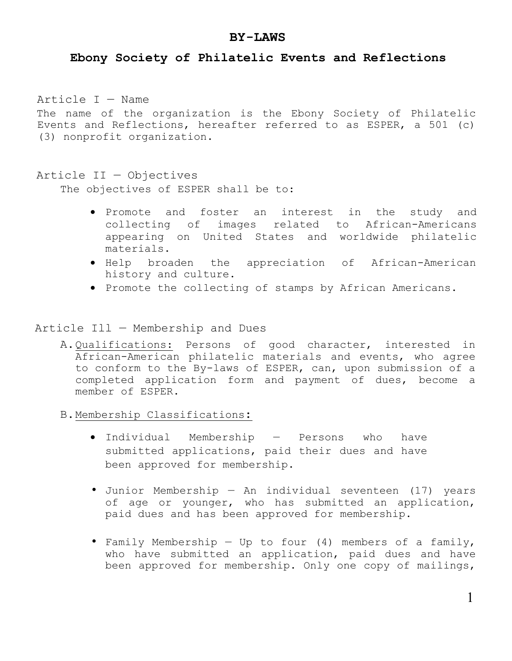### **BY-LAWS**

## **Ebony Society of Philatelic Events and Reflections**

Article I — Name

The name of the organization is the Ebony Society of Philatelic Events and Reflections, hereafter referred to as ESPER, a 501 (c) (3) nonprofit organization.

#### Article II — Objectives

The objectives of ESPER shall be to:

- Promote and foster an interest in the study and collecting of images related to African-Americans appearing on United States and worldwide philatelic materials.
- Help broaden the appreciation of African-American history and culture.
- Promote the collecting of stamps by African Americans.

Article Ill — Membership and Dues

- A.Qualifications: Persons of good character, interested in African-American philatelic materials and events, who agree to conform to the By-laws of ESPER, can, upon submission of a completed application form and payment of dues, become a member of ESPER.
- B.Membership Classifications:
	- Individual Membership Persons who have submitted applications, paid their dues and have been approved for membership.
	- Junior Membership An individual seventeen (17) years of age or younger, who has submitted an application, paid dues and has been approved for membership.
	- Family Membership Up to four (4) members of a family, who have submitted an application, paid dues and have been approved for membership. Only one copy of mailings,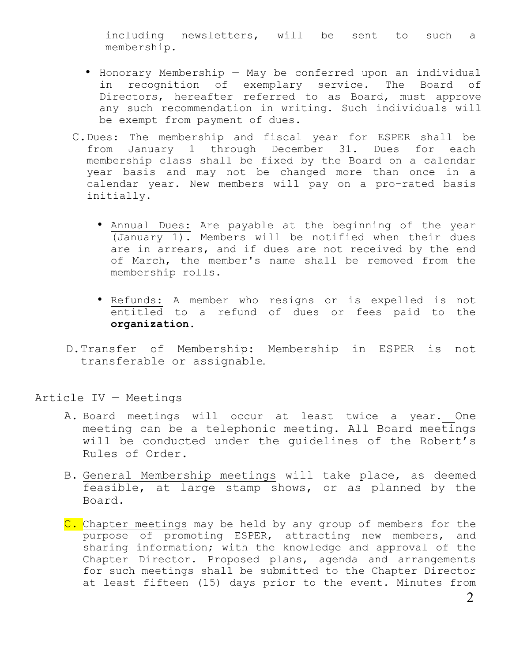including newsletters, will be sent to such a membership.

- Honorary Membership May be conferred upon an individual in recognition of exemplary service. The Board of Directors, hereafter referred to as Board, must approve any such recommendation in writing. Such individuals will be exempt from payment of dues.
- C.Dues: The membership and fiscal year for ESPER shall be from January 1 through December 31. Dues for each membership class shall be fixed by the Board on a calendar year basis and may not be changed more than once in a calendar year. New members will pay on a pro-rated basis initially.
	- Annual Dues: Are payable at the beginning of the year (January 1). Members will be notified when their dues are in arrears, and if dues are not received by the end of March, the member's name shall be removed from the membership rolls.
	- Refunds: A member who resigns or is expelled is not entitled to a refund of dues or fees paid to the **organization.**
- D.Transfer of Membership: Membership in ESPER is not transferable or assignable

Article IV — Meetings

- A. Board meetings will occur at least twice a year. One meeting can be a telephonic meeting. All Board meetings will be conducted under the guidelines of the Robert's Rules of Order.
- B. General Membership meetings will take place, as deemed feasible, at large stamp shows, or as planned by the Board.
- C. Chapter meetings may be held by any group of members for the purpose of promoting ESPER, attracting new members, and sharing information; with the knowledge and approval of the Chapter Director. Proposed plans, agenda and arrangements for such meetings shall be submitted to the Chapter Director at least fifteen (15) days prior to the event. Minutes from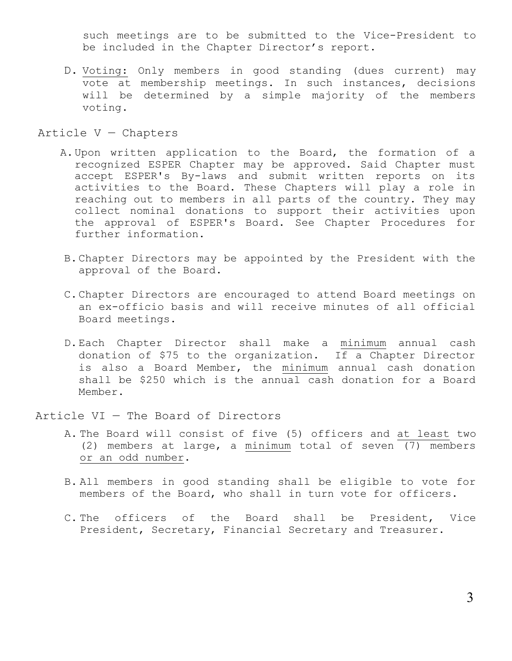such meetings are to be submitted to the Vice-President to be included in the Chapter Director's report.

D. Voting: Only members in good standing (dues current) may vote at membership meetings. In such instances, decisions will be determined by a simple majority of the members voting.

#### Article V — Chapters

- A.Upon written application to the Board, the formation of a recognized ESPER Chapter may be approved. Said Chapter must accept ESPER's By-laws and submit written reports on its activities to the Board. These Chapters will play a role in reaching out to members in all parts of the country. They may collect nominal donations to support their activities upon the approval of ESPER's Board. See Chapter Procedures for further information.
- B.Chapter Directors may be appointed by the President with the approval of the Board.
- C.Chapter Directors are encouraged to attend Board meetings on an ex-officio basis and will receive minutes of all official Board meetings.
- D.Each Chapter Director shall make a minimum annual cash donation of \$75 to the organization. If a Chapter Director is also a Board Member, the minimum annual cash donation shall be \$250 which is the annual cash donation for a Board Member.

Article VI — The Board of Directors

- A. The Board will consist of five (5) officers and at least two (2) members at large, a minimum total of seven (7) members or an odd number.
- B. All members in good standing shall be eligible to vote for members of the Board, who shall in turn vote for officers.
- C. The officers of the Board shall be President, Vice President, Secretary, Financial Secretary and Treasurer.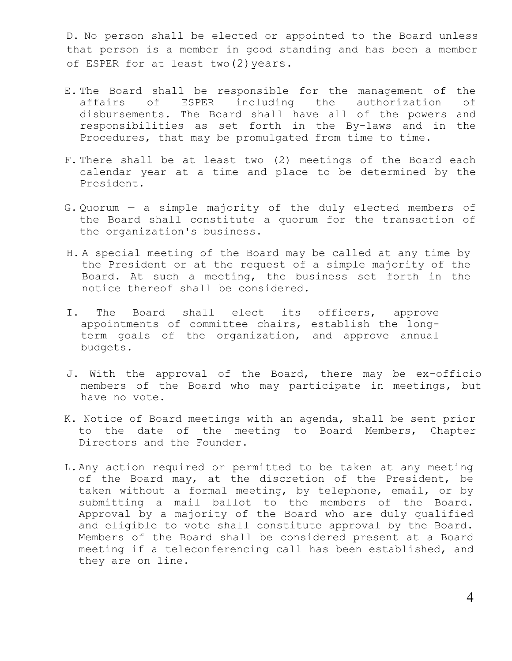D. No person shall be elected or appointed to the Board unless that person is a member in good standing and has been a member of ESPER for at least two(2)years.

- E. The Board shall be responsible for the management of the affairs of ESPER including the authorization of disbursements. The Board shall have all of the powers and responsibilities as set forth in the By-laws and in the Procedures, that may be promulgated from time to time.
- F. There shall be at least two (2) meetings of the Board each calendar year at a time and place to be determined by the President.
- G. Quorum a simple majority of the duly elected members of the Board shall constitute a quorum for the transaction of the organization's business.
- H. A special meeting of the Board may be called at any time by the President or at the request of a simple majority of the Board. At such a meeting, the business set forth in the notice thereof shall be considered.
- I. The Board shall elect its officers, approve appointments of committee chairs, establish the longterm goals of the organization, and approve annual budgets.
- J. With the approval of the Board, there may be ex-officio members of the Board who may participate in meetings, but have no vote.
- K. Notice of Board meetings with an agenda, shall be sent prior to the date of the meeting to Board Members, Chapter Directors and the Founder.
- L.Any action required or permitted to be taken at any meeting of the Board may, at the discretion of the President, be taken without a formal meeting, by telephone, email, or by submitting a mail ballot to the members of the Board. Approval by a majority of the Board who are duly qualified and eligible to vote shall constitute approval by the Board. Members of the Board shall be considered present at a Board meeting if a teleconferencing call has been established, and they are on line.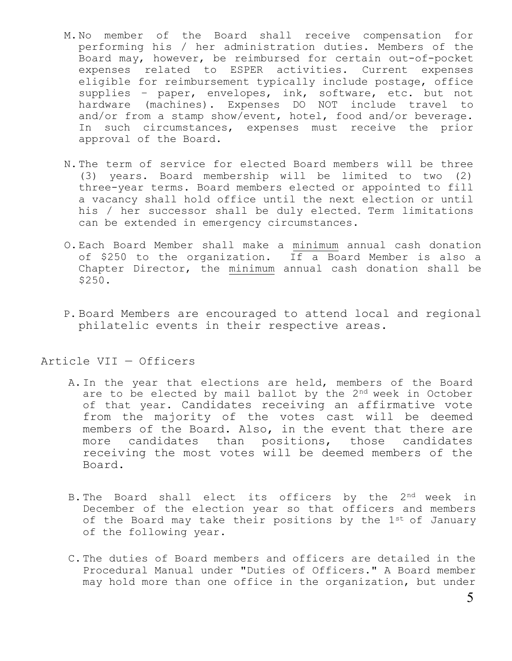- M.No member of the Board shall receive compensation for performing his / her administration duties. Members of the Board may, however, be reimbursed for certain out-of-pocket expenses related to ESPER activities. Current expenses eligible for reimbursement typically include postage, office supplies – paper, envelopes, ink, software, etc. but not hardware (machines). Expenses DO NOT include travel to and/or from a stamp show/event, hotel, food and/or beverage. In such circumstances, expenses must receive the prior approval of the Board.
- N.The term of service for elected Board members will be three (3) years. Board membership will be limited to two (2) three-year terms. Board members elected or appointed to fill a vacancy shall hold office until the next election or until his / her successor shall be duly elected. Term limitations can be extended in emergency circumstances.
- O.Each Board Member shall make a minimum annual cash donation of \$250 to the organization. If a Board Member is also a Chapter Director, the minimum annual cash donation shall be \$250.
- P. Board Members are encouraged to attend local and regional philatelic events in their respective areas.

Article VII — Officers

- A.In the year that elections are held, members of the Board are to be elected by mail ballot by the 2<sup>nd</sup> week in October of that year. Candidates receiving an affirmative vote from the majority of the votes cast will be deemed members of the Board. Also, in the event that there are more candidates than positions, those candidates receiving the most votes will be deemed members of the Board.
- B. The Board shall elect its officers by the 2<sup>nd</sup> week in December of the election year so that officers and members of the Board may take their positions by the  $1^{st}$  of January of the following year.
- C.The duties of Board members and officers are detailed in the Procedural Manual under "Duties of Officers." A Board member may hold more than one office in the organization, but under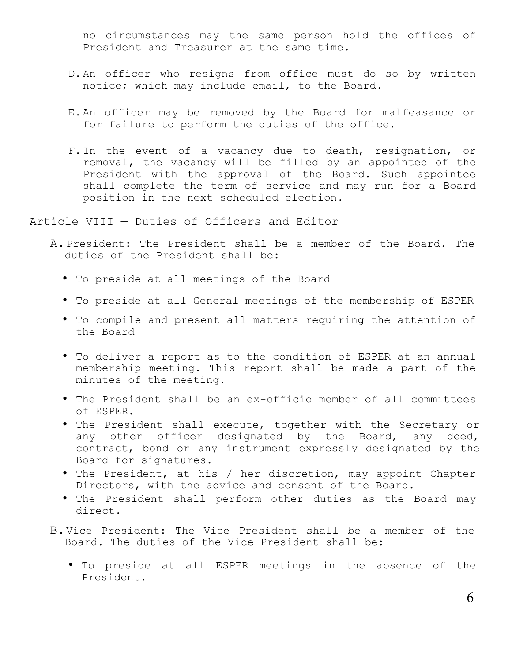no circumstances may the same person hold the offices of President and Treasurer at the same time.

- D.An officer who resigns from office must do so by written notice; which may include email, to the Board.
- E.An officer may be removed by the Board for malfeasance or for failure to perform the duties of the office.
- F.In the event of a vacancy due to death, resignation, or removal, the vacancy will be filled by an appointee of the President with the approval of the Board. Such appointee shall complete the term of service and may run for a Board position in the next scheduled election.

Article VIII — Duties of Officers and Editor

- A.President: The President shall be a member of the Board. The duties of the President shall be:
	- To preside at all meetings of the Board
	- To preside at all General meetings of the membership of ESPER
	- To compile and present all matters requiring the attention of the Board
	- To deliver a report as to the condition of ESPER at an annual membership meeting. This report shall be made a part of the minutes of the meeting.
	- The President shall be an ex-officio member of all committees of ESPER.
	- The President shall execute, together with the Secretary or any other officer designated by the Board, any deed, contract, bond or any instrument expressly designated by the Board for signatures.
	- The President, at his / her discretion, may appoint Chapter Directors, with the advice and consent of the Board.
	- The President shall perform other duties as the Board may direct.
- B.Vice President: The Vice President shall be a member of the Board. The duties of the Vice President shall be:
	- To preside at all ESPER meetings in the absence of the President.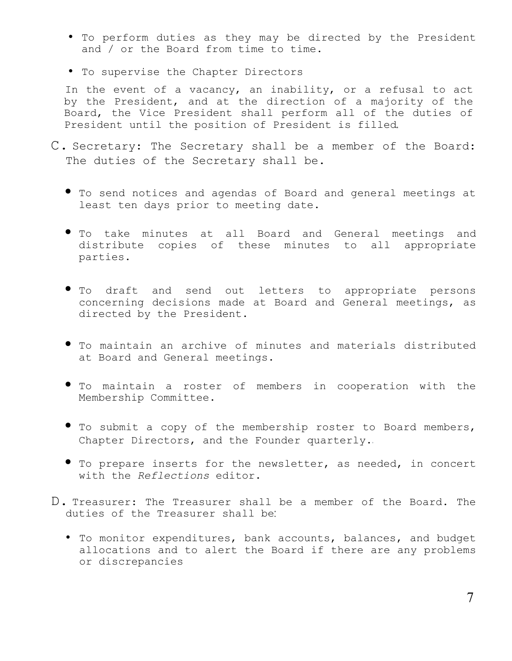- To perform duties as they may be directed by the President and / or the Board from time to time.
- To supervise the Chapter Directors

In the event of a vacancy, an inability, or a refusal to act by the President, and at the direction of a majority of the Board, the Vice President shall perform all of the duties of President until the position of President is filled

- C. Secretary: The Secretary shall be a member of the Board: The duties of the Secretary shall be.
	- To send notices and agendas of Board and general meetings at least ten days prior to meeting date.
	- To take minutes at all Board and General meetings and distribute copies of these minutes to all appropriate parties.
	- To draft and send out letters to appropriate persons concerning decisions made at Board and General meetings, as directed by the President.
	- To maintain an archive of minutes and materials distributed at Board and General meetings.
	- To maintain a roster of members in cooperation with the Membership Committee.
	- To submit a copy of the membership roster to Board members, Chapter Directors, and the Founder quarterly.
	- To prepare inserts for the newsletter, as needed, in concert with the *Reflections* editor.
- D. Treasurer: The Treasurer shall be a member of the Board. The duties of the Treasurer shall be
	- To monitor expenditures, bank accounts, balances, and budget allocations and to alert the Board if there are any problems or discrepancies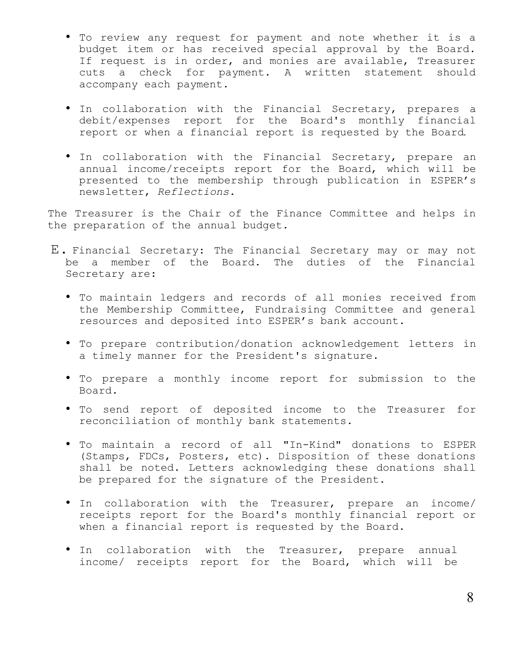- To review any request for payment and note whether it is a budget item or has received special approval by the Board. If request is in order, and monies are available, Treasurer cuts a check for payment. A written statement should accompany each payment.
- In collaboration with the Financial Secretary, prepares a debit/expenses report for the Board's monthly financial report or when a financial report is requested by the Board
- In collaboration with the Financial Secretary, prepare an annual income/receipts report for the Board, which will be presented to the membership through publication in ESPER's newsletter, *Reflections.*

The Treasurer is the Chair of the Finance Committee and helps in the preparation of the annual budget.

- E. Financial Secretary: The Financial Secretary may or may not be a member of the Board. The duties of the Financial Secretary are:
	- To maintain ledgers and records of all monies received from the Membership Committee, Fundraising Committee and general resources and deposited into ESPER's bank account.
	- To prepare contribution/donation acknowledgement letters in a timely manner for the President's signature.
	- To prepare a monthly income report for submission to the Board.
	- To send report of deposited income to the Treasurer for reconciliation of monthly bank statements.
	- To maintain a record of all "In-Kind" donations to ESPER (Stamps, FDCs, Posters, etc). Disposition of these donations shall be noted. Letters acknowledging these donations shall be prepared for the signature of the President.
	- In collaboration with the Treasurer, prepare an income/ receipts report for the Board's monthly financial report or when a financial report is requested by the Board.
	- In collaboration with the Treasurer, prepare annual income/ receipts report for the Board, which will be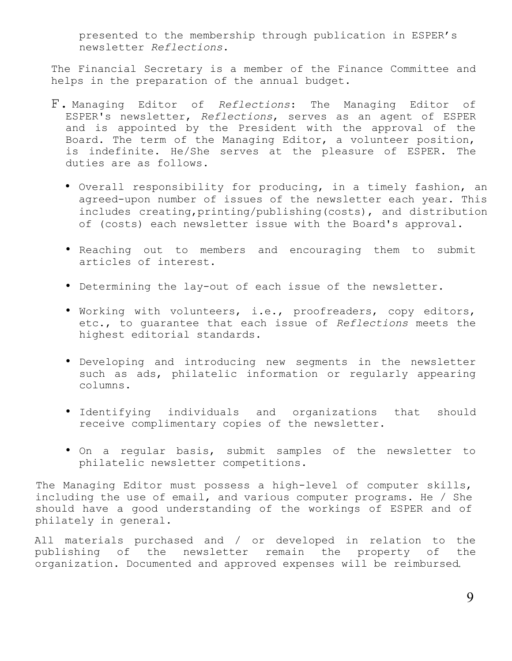presented to the membership through publication in ESPER's newsletter *Reflections*.

The Financial Secretary is a member of the Finance Committee and helps in the preparation of the annual budget.

- F. Managing Editor of *Reflections*: The Managing Editor of ESPER's newsletter, *Reflections*, serves as an agent of ESPER and is appointed by the President with the approval of the Board. The term of the Managing Editor, a volunteer position, is indefinite. He/She serves at the pleasure of ESPER. The duties are as follows.
	- Overall responsibility for producing, in a timely fashion, an agreed-upon number of issues of the newsletter each year. This includes creating,printing/publishing(costs), and distribution of (costs) each newsletter issue with the Board's approval.
	- Reaching out to members and encouraging them to submit articles of interest.
	- Determining the lay-out of each issue of the newsletter.
	- Working with volunteers, i.e., proofreaders, copy editors, etc., to guarantee that each issue of *Reflections* meets the highest editorial standards.
	- Developing and introducing new segments in the newsletter such as ads, philatelic information or regularly appearing columns.
	- Identifying individuals and organizations that should receive complimentary copies of the newsletter.
	- On a regular basis, submit samples of the newsletter to philatelic newsletter competitions.

The Managing Editor must possess a high-level of computer skills, including the use of email, and various computer programs. He / She should have a good understanding of the workings of ESPER and of philately in general.

All materials purchased and / or developed in relation to the publishing of the newsletter remain the property of the organization. Documented and approved expenses will be reimbursed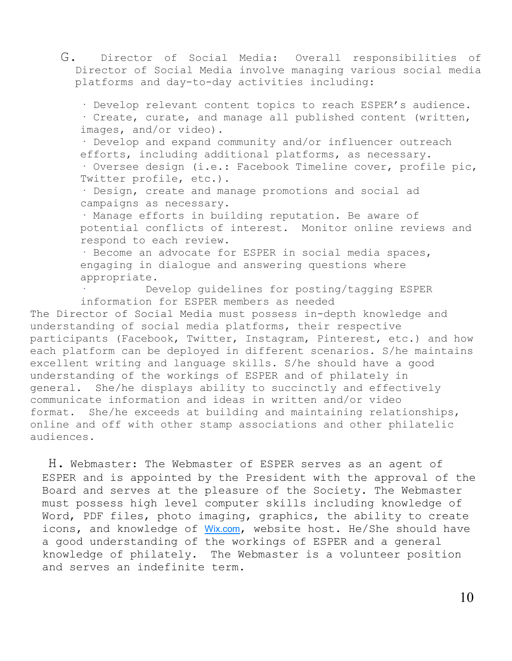G. Director of Social Media: Overall responsibilities of Director of Social Media involve managing various social media platforms and day-to-day activities including:

· Develop relevant content topics to reach ESPER's audience.

· Create, curate, and manage all published content (written, images, and/or video).

· Develop and expand community and/or influencer outreach efforts, including additional platforms, as necessary.

· Oversee design (i.e.: Facebook Timeline cover, profile pic, Twitter profile, etc.).

· Design, create and manage promotions and social ad campaigns as necessary.

· Manage efforts in building reputation. Be aware of potential conflicts of interest. Monitor online reviews and respond to each review.

· Become an advocate for ESPER in social media spaces, engaging in dialogue and answering questions where appropriate.

Develop quidelines for posting/tagging ESPER information for ESPER members as needed

The Director of Social Media must possess in-depth knowledge and understanding of social media platforms, their respective participants (Facebook, Twitter, Instagram, Pinterest, etc.) and how each platform can be deployed in different scenarios. S/he maintains excellent writing and language skills. S/he should have a good understanding of the workings of ESPER and of philately in general. She/he displays ability to succinctly and effectively communicate information and ideas in written and/or video format. She/he exceeds at building and maintaining relationships, online and off with other stamp associations and other philatelic audiences.

H. Webmaster: The Webmaster of ESPER serves as an agent of ESPER and is appointed by the President with the approval of the Board and serves at the pleasure of the Society. The Webmaster must possess high level computer skills including knowledge of Word, PDF files, photo imaging, graphics, the ability to create icons, and knowledge of [Wix.com](http://wix.com/), website host. He/She should have a good understanding of the workings of ESPER and a general knowledge of philately. The Webmaster is a volunteer position and serves an indefinite term.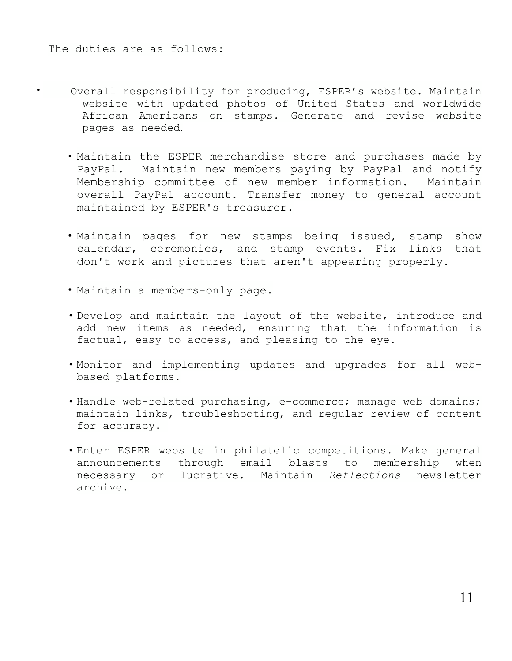- Overall responsibility for producing, ESPER's website. Maintain website with updated photos of United States and worldwide African Americans on stamps. Generate and revise website pages as needed.
- Maintain the ESPER merchandise store and purchases made by PayPal. Maintain new members paying by PayPal and notify Membership committee of new member information. Maintain overall PayPal account. Transfer money to general account maintained by ESPER's treasurer.
- Maintain pages for new stamps being issued, stamp show calendar, ceremonies, and stamp events. Fix links that don't work and pictures that aren't appearing properly.
- Maintain a members-only page.
- Develop and maintain the layout of the website, introduce and add new items as needed, ensuring that the information is factual, easy to access, and pleasing to the eye.
- Monitor and implementing updates and upgrades for all webbased platforms.
- Handle web-related purchasing, e-commerce; manage web domains; maintain links, troubleshooting, and regular review of content for accuracy.
- Enter ESPER website in philatelic competitions. Make general announcements through email blasts to membership when necessary or lucrative. Maintain *Reflections* newsletter archive.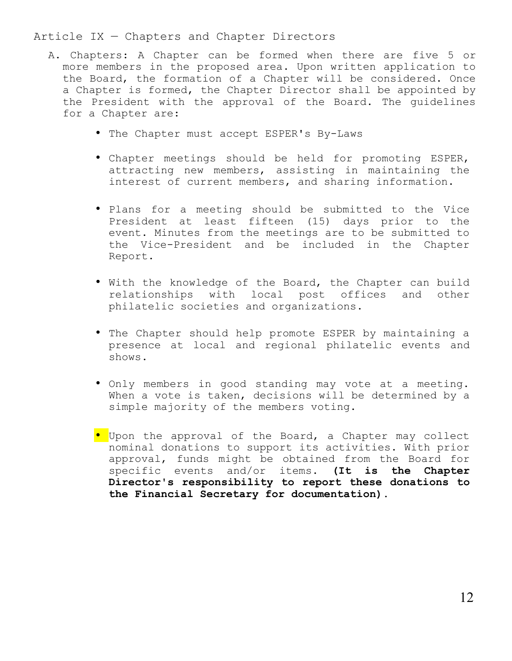## Article IX — Chapters and Chapter Directors

- A. Chapters: A Chapter can be formed when there are five 5 or more members in the proposed area. Upon written application to the Board, the formation of a Chapter will be considered. Once a Chapter is formed, the Chapter Director shall be appointed by the President with the approval of the Board. The guidelines for a Chapter are:
	- The Chapter must accept ESPER's By-Laws
	- Chapter meetings should be held for promoting ESPER, attracting new members, assisting in maintaining the interest of current members, and sharing information.
	- Plans for a meeting should be submitted to the Vice President at least fifteen (15) days prior to the event. Minutes from the meetings are to be submitted to the Vice-President and be included in the Chapter Report.
	- With the knowledge of the Board, the Chapter can build relationships with local post offices and other philatelic societies and organizations.
	- The Chapter should help promote ESPER by maintaining a presence at local and regional philatelic events and shows.
	- Only members in good standing may vote at a meeting. When a vote is taken, decisions will be determined by a simple majority of the members voting.
	- Upon the approval of the Board, a Chapter may collect nominal donations to support its activities. With prior approval, funds might be obtained from the Board for specific events and/or items. **(It is the Chapter Director's responsibility to report these donations to the Financial Secretary for documentation).**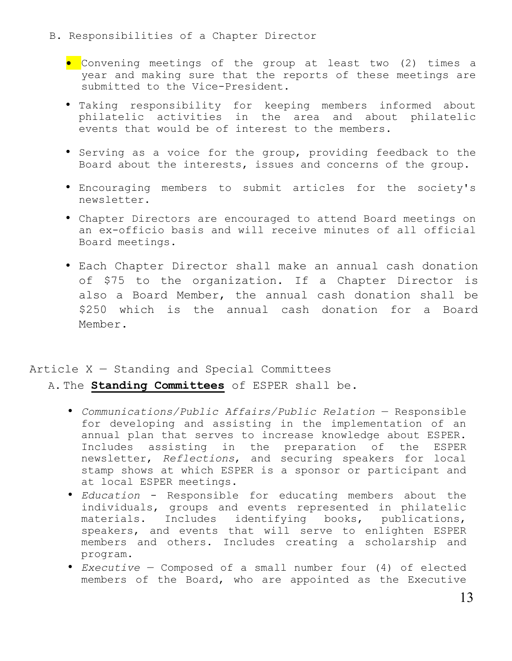- B. Responsibilities of a Chapter Director
	- **•** Convening meetings of the group at least two (2) times a year and making sure that the reports of these meetings are submitted to the Vice-President.
	- Taking responsibility for keeping members informed about philatelic activities in the area and about philatelic events that would be of interest to the members.
	- Serving as a voice for the group, providing feedback to the Board about the interests, issues and concerns of the group.
	- Encouraging members to submit articles for the society's newsletter.
	- Chapter Directors are encouraged to attend Board meetings on an ex-officio basis and will receive minutes of all official Board meetings.
	- Each Chapter Director shall make an annual cash donation of \$75 to the organization. If a Chapter Director is also a Board Member, the annual cash donation shall be \$250 which is the annual cash donation for a Board Member.

## Article X — Standing and Special Committees

A. The **Standing Committees** of ESPER shall be.

- *Communications/Public Affairs/Public Relation* Responsible for developing and assisting in the implementation of an annual plan that serves to increase knowledge about ESPER. Includes assisting in the preparation of the ESPER newsletter, *Reflections*, and securing speakers for local stamp shows at which ESPER is a sponsor or participant and at local ESPER meetings.
- *Education* Responsible for educating members about the individuals, groups and events represented in philatelic materials. Includes identifying books, publications, speakers, and events that will serve to enlighten ESPER members and others. Includes creating a scholarship and program.
- *Executive* Composed of a small number four (4) of elected members of the Board, who are appointed as the Executive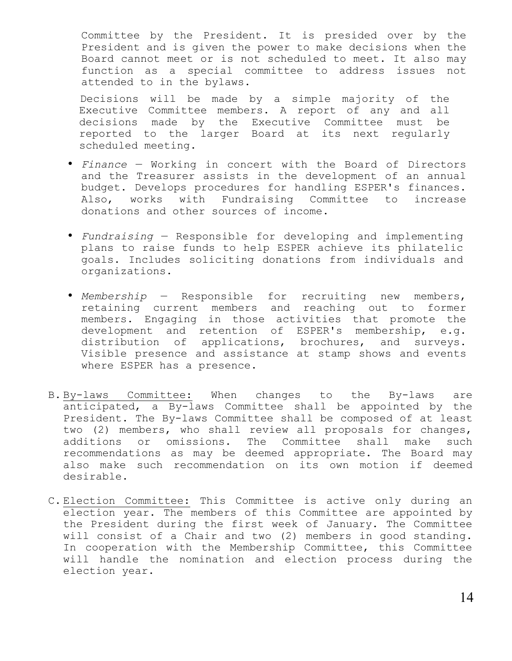Committee by the President. It is presided over by the President and is given the power to make decisions when the Board cannot meet or is not scheduled to meet. It also may function as a special committee to address issues not attended to in the bylaws.

Decisions will be made by a simple majority of the Executive Committee members. A report of any and all decisions made by the Executive Committee must be reported to the larger Board at its next regularly scheduled meeting.

- *Finance* Working in concert with the Board of Directors and the Treasurer assists in the development of an annual budget. Develops procedures for handling ESPER's finances. Also, works with Fundraising Committee to increase donations and other sources of income.
- *Fundraising* Responsible for developing and implementing plans to raise funds to help ESPER achieve its philatelic goals. Includes soliciting donations from individuals and organizations.
- *Membership* Responsible for recruiting new members, retaining current members and reaching out to former members. Engaging in those activities that promote the development and retention of ESPER's membership, e.g. distribution of applications, brochures, and surveys. Visible presence and assistance at stamp shows and events where ESPER has a presence.
- B. By-laws Committee: When changes to the By-laws are anticipated, a By-laws Committee shall be appointed by the President. The By-laws Committee shall be composed of at least two (2) members, who shall review all proposals for changes, additions or omissions. The Committee shall make such recommendations as may be deemed appropriate. The Board may also make such recommendation on its own motion if deemed desirable.
- C. Election Committee: This Committee is active only during an election year. The members of this Committee are appointed by the President during the first week of January. The Committee will consist of a Chair and two (2) members in good standing. In cooperation with the Membership Committee, this Committee will handle the nomination and election process during the election year.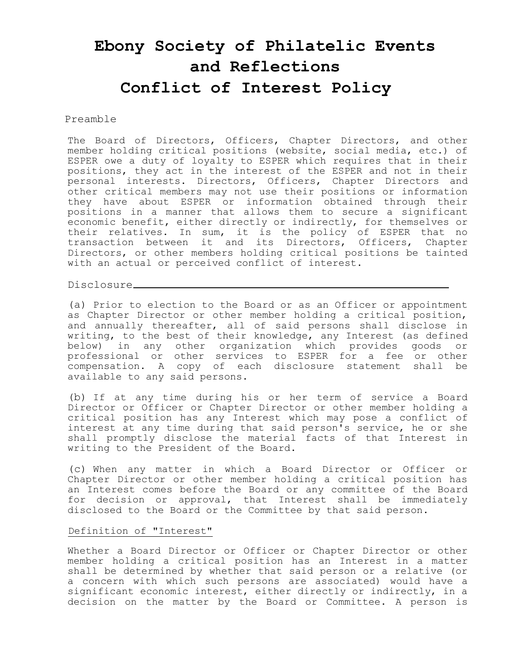# **Ebony Society of Philatelic Events and Reflections Conflict of Interest Policy**

#### Preamble

The Board of Directors, Officers, Chapter Directors, and other member holding critical positions (website, social media, etc.) of ESPER owe a duty of loyalty to ESPER which requires that in their positions, they act in the interest of the ESPER and not in their personal interests. Directors, Officers, Chapter Directors and other critical members may not use their positions or information they have about ESPER or information obtained through their positions in a manner that allows them to secure a significant economic benefit, either directly or indirectly, for themselves or their relatives. In sum, it is the policy of ESPER that no transaction between it and its Directors, Officers, Chapter Directors, or other members holding critical positions be tainted with an actual or perceived conflict of interest.

Disclosure

(a) Prior to election to the Board or as an Officer or appointment as Chapter Director or other member holding a critical position, and annually thereafter, all of said persons shall disclose in writing, to the best of their knowledge, any Interest (as defined below) in any other organization which provides goods or professional or other services to ESPER for a fee or other compensation. A copy of each disclosure statement shall be available to any said persons.

(b) If at any time during his or her term of service a Board Director or Officer or Chapter Director or other member holding a critical position has any Interest which may pose a conflict of interest at any time during that said person's service, he or she shall promptly disclose the material facts of that Interest in writing to the President of the Board.

(c) When any matter in which a Board Director or Officer or Chapter Director or other member holding a critical position has an Interest comes before the Board or any committee of the Board for decision or approval, that Interest shall be immediately disclosed to the Board or the Committee by that said person.

#### Definition of "Interest"

Whether a Board Director or Officer or Chapter Director or other member holding a critical position has an Interest in a matter shall be determined by whether that said person or a relative (or a concern with which such persons are associated) would have a significant economic interest, either directly or indirectly, in a decision on the matter by the Board or Committee. A person is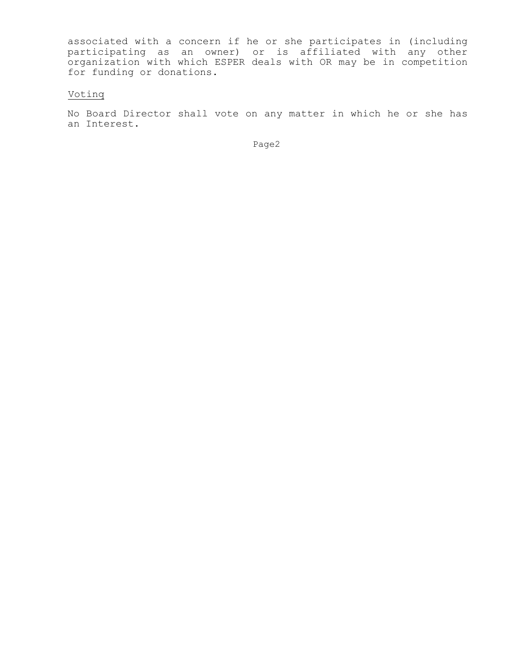associated with a concern if he or she participates in (including participating as an owner) or is affiliated with any other organization with which ESPER deals with OR may be in competition for funding or donations.

## Votinq

No Board Director shall vote on any matter in which he or she has an Interest.

Page2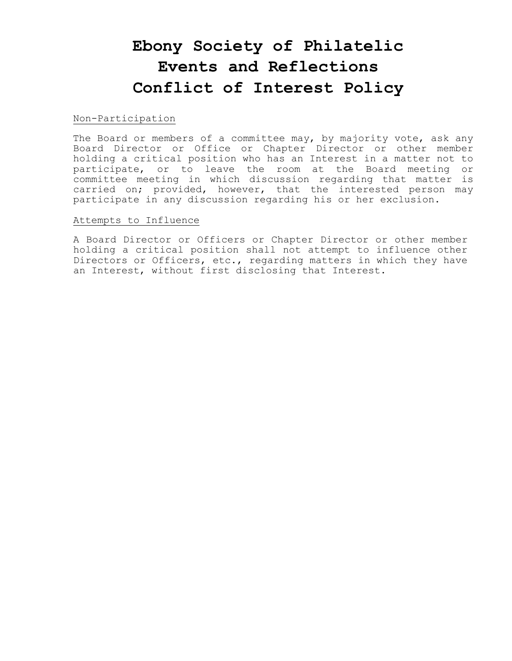# **Ebony Society of Philatelic Events and Reflections Conflict of Interest Policy**

#### Non-Participation

The Board or members of a committee may, by majority vote, ask any Board Director or Office or Chapter Director or other member holding a critical position who has an Interest in a matter not to participate, or to leave the room at the Board meeting or committee meeting in which discussion regarding that matter is carried on; provided, however, that the interested person may participate in any discussion regarding his or her exclusion.

#### Attempts to Influence

A Board Director or Officers or Chapter Director or other member holding a critical position shall not attempt to influence other Directors or Officers, etc., regarding matters in which they have an Interest, without first disclosing that Interest.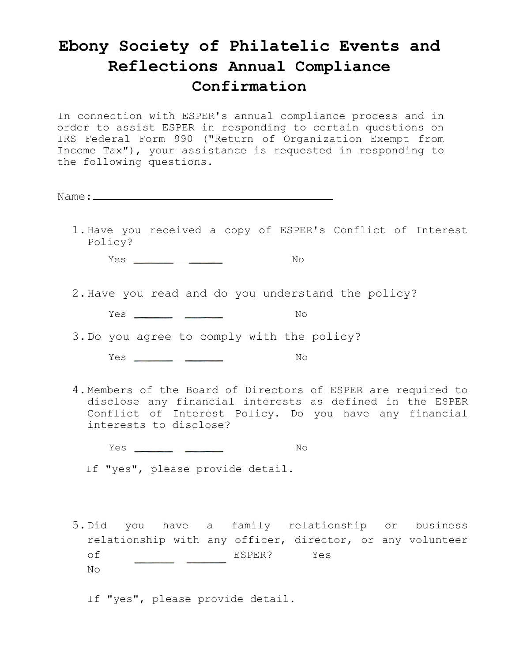## **Ebony Society of Philatelic Events and Reflections Annual Compliance Confirmation**

In connection with ESPER's annual compliance process and in order to assist ESPER in responding to certain questions on IRS Federal Form 990 ("Return of Organization Exempt from Income Tax"), your assistance is requested in responding to the following questions.

Name:

1.Have you received a copy of ESPER's Conflict of Interest Policy?

Yes No

2.Have you read and do you understand the policy?

Yes No

3.Do you agree to comply with the policy?

Yes No

4.Members of the Board of Directors of ESPER are required to disclose any financial interests as defined in the ESPER Conflict of Interest Policy. Do you have any financial interests to disclose?

Yes No

If "yes", please provide detail.

5.Did you have a family relationship or business relationship with any officer, director, or any volunteer of ESPER? Yes No

If "yes", please provide detail.